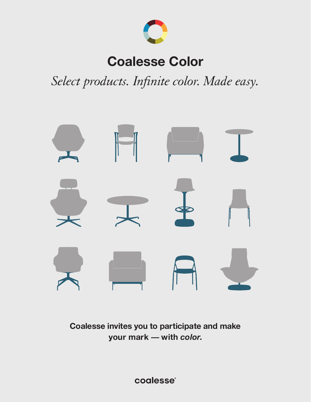

# **Coalesse Color**

*Select products. Infinite color. Made easy.*



**Coalesse invites you to participate and make your mark — with** *color***.**

coalesse®